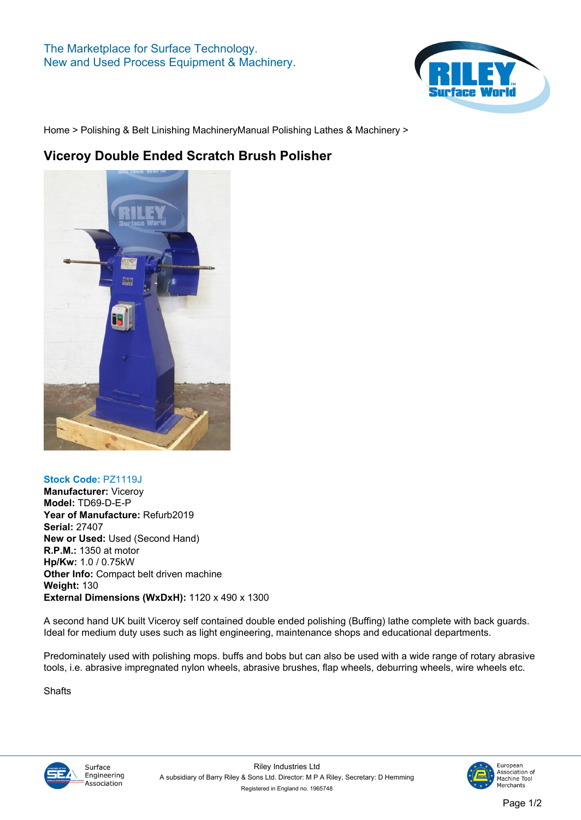## **The Marketplace for Surface Technology. New and Used Process Equipment & Machinery.**



**[Home](https://www.rileysurfaceworld.co.uk) > [Polishing & Belt Linishing Machinery](https://www.rileysurfaceworld.co.uk/polishing-linishing.asp)[Manual Polishing Lathes & Machinery](https://www.rileysurfaceworld.co.uk/polishing-manual-lathes.asp) >**

## **Viceroy Double Ended Scratch Brush Polisher**



## **Stock Code: PZ1119J**

**Manufacturer: Viceroy Model: TD69-D-E-P Year of Manufacture: Refurb2019 Serial: 27407 New or Used: Used (Second Hand) R.P.M.: 1350 at motor Hp/Kw: 1.0 / 0.75kW Other Info: Compact belt driven machine Weight: 130 External Dimensions (WxDxH): 1120 x 490 x 1300**

**A second hand UK built Viceroy self contained double ended polishing (Buffing) lathe complete with back guards. Ideal for medium duty uses such as light engineering, maintenance shops and educational departments.**

**Predominately used with polishing mops. buffs and bobs but can also be used with a wide range of rotary abrasive tools, i.e. abrasive impregnated nylon wheels, abrasive brushes, flap wheels, deburring wheels, wire wheels etc.**

**Shafts**